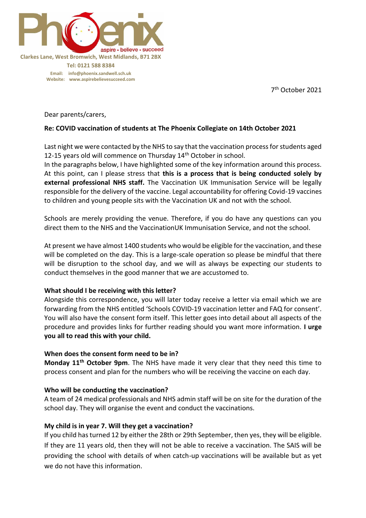

7 th October 2021

Dear parents/carers,

### **Re: COVID vaccination of students at The Phoenix Collegiate on 14th October 2021**

Last night we were contacted by the NHS to say that the vaccination process for students aged 12-15 years old will commence on Thursday  $14<sup>th</sup>$  October in school.

In the paragraphs below, I have highlighted some of the key information around this process. At this point, can I please stress that **this is a process that is being conducted solely by external professional NHS staff.** The Vaccination UK Immunisation Service will be legally responsible for the delivery of the vaccine. Legal accountability for offering Covid-19 vaccines to children and young people sits with the Vaccination UK and not with the school.

Schools are merely providing the venue. Therefore, if you do have any questions can you direct them to the NHS and the VaccinationUK Immunisation Service, and not the school.

At present we have almost 1400 students who would be eligible for the vaccination, and these will be completed on the day. This is a large-scale operation so please be mindful that there will be disruption to the school day, and we will as always be expecting our students to conduct themselves in the good manner that we are accustomed to.

#### **What should I be receiving with this letter?**

Alongside this correspondence, you will later today receive a letter via email which we are forwarding from the NHS entitled 'Schools COVID-19 vaccination letter and FAQ for consent'. You will also have the consent form itself. This letter goes into detail about all aspects of the procedure and provides links for further reading should you want more information. **I urge you all to read this with your child.** 

### **When does the consent form need to be in?**

**Monday 11th October 9pm**. The NHS have made it very clear that they need this time to process consent and plan for the numbers who will be receiving the vaccine on each day.

#### **Who will be conducting the vaccination?**

A team of 24 medical professionals and NHS admin staff will be on site for the duration of the school day. They will organise the event and conduct the vaccinations.

### **My child is in year 7. Will they get a vaccination?**

If you child has turned 12 by either the 28th or 29th September, then yes, they will be eligible. If they are 11 years old, then they will not be able to receive a vaccination. The SAIS will be providing the school with details of when catch-up vaccinations will be available but as yet we do not have this information.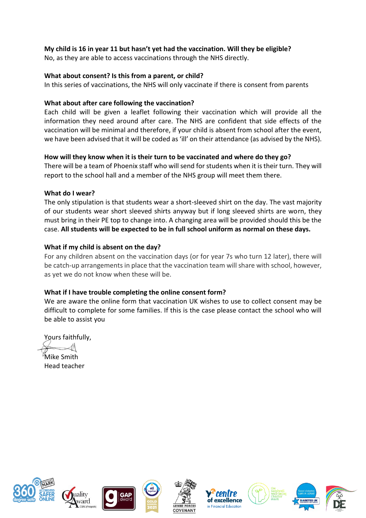# **My child is 16 in year 11 but hasn't yet had the vaccination. Will they be eligible?**

No, as they are able to access vaccinations through the NHS directly.

# **What about consent? Is this from a parent, or child?**

In this series of vaccinations, the NHS will only vaccinate if there is consent from parents

# **What about after care following the vaccination?**

Each child will be given a leaflet following their vaccination which will provide all the information they need around after care. The NHS are confident that side effects of the vaccination will be minimal and therefore, if your child is absent from school after the event, we have been advised that it will be coded as 'ill' on their attendance (as advised by the NHS).

# **How will they know when it is their turn to be vaccinated and where do they go?**

There will be a team of Phoenix staff who will send for students when it is their turn. They will report to the school hall and a member of the NHS group will meet them there.

# **What do I wear?**

The only stipulation is that students wear a short-sleeved shirt on the day. The vast majority of our students wear short sleeved shirts anyway but if long sleeved shirts are worn, they must bring in their PE top to change into. A changing area will be provided should this be the case. **All students will be expected to be in full school uniform as normal on these days.** 

# **What if my child is absent on the day?**

For any children absent on the vaccination days (or for year 7s who turn 12 later), there will be catch-up arrangements in place that the vaccination team will share with school, however, as yet we do not know when these will be.

# **What if I have trouble completing the online consent form?**

We are aware the online form that vaccination UK wishes to use to collect consent may be difficult to complete for some families. If this is the case please contact the school who will be able to assist you

Yours faithfully,

Mike Smith Head teacher













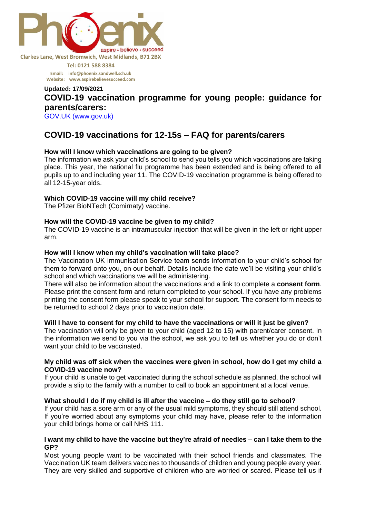

**Tel: 0121 588 8384 Email: [info@phoenix.sandwell.sch.uk](mailto:info@phoenix.sandwell.sch.uk) Website: www.aspirebelievesucceed.com**

# **Updated: 17/09/2021 COVID-19 vaccination programme for young people: guidance for parents/carers:**

GOV.UK (www.gov.uk)

# **COVID-19 vaccinations for 12-15s – FAQ for parents/carers**

### **How will I know which vaccinations are going to be given?**

The information we ask your child's school to send you tells you which vaccinations are taking place. This year, the national flu programme has been extended and is being offered to all pupils up to and including year 11. The COVID-19 vaccination programme is being offered to all 12-15-year olds.

### **Which COVID-19 vaccine will my child receive?**

The Pfizer BioNTech (Comirnaty) vaccine.

#### **How will the COVID-19 vaccine be given to my child?**

The COVID-19 vaccine is an intramuscular injection that will be given in the left or right upper arm.

#### **How will I know when my child's vaccination will take place?**

The Vaccination UK Immunisation Service team sends information to your child's school for them to forward onto you, on our behalf. Details include the date we'll be visiting your child's school and which vaccinations we will be administering.

There will also be information about the vaccinations and a link to complete a **consent form**. Please print the consent form and return completed to your school. If you have any problems printing the consent form please speak to your school for support. The consent form needs to be returned to school 2 days prior to vaccination date.

#### **Will I have to consent for my child to have the vaccinations or will it just be given?**

The vaccination will only be given to your child (aged 12 to 15) with parent/carer consent. In the information we send to you via the school, we ask you to tell us whether you do or don't want your child to be vaccinated.

#### **My child was off sick when the vaccines were given in school, how do I get my child a COVID-19 vaccine now?**

If your child is unable to get vaccinated during the school schedule as planned, the school will provide a slip to the family with a number to call to book an appointment at a local venue.

#### **What should I do if my child is ill after the vaccine – do they still go to school?**

If your child has a sore arm or any of the usual mild symptoms, they should still attend school. If you're worried about any symptoms your child may have, please refer to the information your child brings home or call NHS 111.

#### **I want my child to have the vaccine but they're afraid of needles – can I take them to the GP?**

Most young people want to be vaccinated with their school friends and classmates. The Vaccination UK team delivers vaccines to thousands of children and young people every year. They are very skilled and supportive of children who are worried or scared. Please tell us if